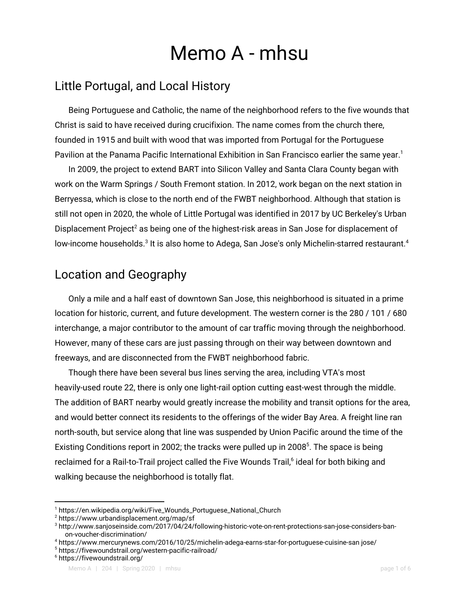# Memo A - mhsu

# Little Portugal, and Local History

Being Portuguese and Catholic, the name of the neighborhood refers to the five wounds that Christ is said to have received during crucifixion. The name comes from the church there, founded in 1915 and built with wood that was imported from Portugal for the Portuguese Pavilion at the Panama Pacific International Exhibition in San Francisco earlier the same year. $^{\text{\tiny{\textup{1}}}}$ 

In 2009, the project to extend BART into Silicon Valley and Santa Clara County began with work on the Warm Springs / South Fremont station. In 2012, work began on the next station in Berryessa, which is close to the north end of the FWBT neighborhood. Although that station is still not open in 2020, the whole of Little Portugal was identified in 2017 by UC Berkeley's Urban Displacement Project<sup>2</sup> as being one of the highest-risk areas in San Jose for displacement of low-income households. $^3$  It is also home to Adega, San Jose's only Michelin-starred restaurant. $^4$ 

# Location and Geography

Only a mile and a half east of downtown San Jose, this neighborhood is situated in a prime location for historic, current, and future development. The western corner is the 280 / 101 / 680 interchange, a major contributor to the amount of car traffic moving through the neighborhood. However, many of these cars are just passing through on their way between downtown and freeways, and are disconnected from the FWBT neighborhood fabric.

Though there have been several bus lines serving the area, including VTA's most heavily-used route 22, there is only one light-rail option cutting east-west through the middle. The addition of BART nearby would greatly increase the mobility and transit options for the area, and would better connect its residents to the offerings of the wider Bay Area. A freight line ran north-south, but service along that line was suspended by Union Pacific around the time of the Existing Conditions report in 2002; the tracks were pulled up in 2008<sup>5</sup>. The space is being reclaimed for a Rail-to-Trail project called the Five Wounds Trail,<sup>6</sup> ideal for both biking and walking because the neighborhood is totally flat.

<sup>1</sup> https://en.wikipedia.org/wiki/Five\_Wounds\_Portuguese\_National\_Church

<sup>2</sup> https://www.urbandisplacement.org/map/sf

<sup>&</sup>lt;sup>3</sup> http://www.sanjoseinside.com/2017/04/24/following-historic-vote-on-rent-protections-san-jose-considers-banon-voucher-discrimination/

<sup>4</sup> https://www.mercurynews.com/2016/10/25/michelin-adega-earns-star-for-portuguese-cuisine-san jose/

<sup>5</sup> https://fivewoundstrail.org/western-pacific-railroad/

<sup>6</sup> https://fivewoundstrail.org/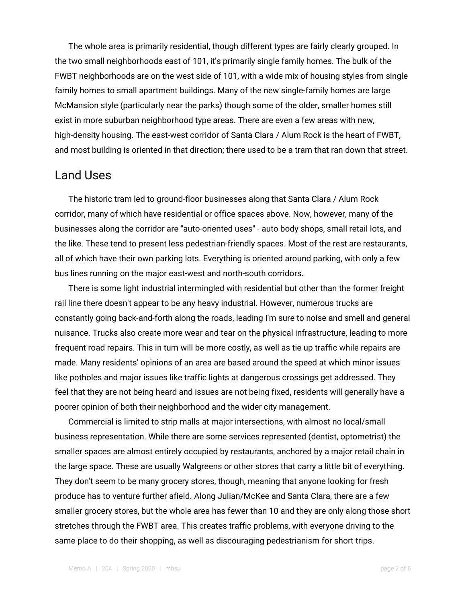The whole area is primarily residential, though different types are fairly clearly grouped. In the two small neighborhoods east of 101, it's primarily single family homes. The bulk of the FWBT neighborhoods are on the west side of 101, with a wide mix of housing styles from single family homes to small apartment buildings. Many of the new single-family homes are large McMansion style (particularly near the parks) though some of the older, smaller homes still exist in more suburban neighborhood type areas. There are even a few areas with new, high-density housing. The east-west corridor of Santa Clara / Alum Rock is the heart of FWBT, and most building is oriented in that direction; there used to be a tram that ran down that street.

#### Land Uses

The historic tram led to ground-floor businesses along that Santa Clara / Alum Rock corridor, many of which have residential or office spaces above. Now, however, many of the businesses along the corridor are "auto-oriented uses" - auto body shops, small retail lots, and the like. These tend to present less pedestrian-friendly spaces. Most of the rest are restaurants, all of which have their own parking lots. Everything is oriented around parking, with only a few bus lines running on the major east-west and north-south corridors.

There is some light industrial intermingled with residential but other than the former freight rail line there doesn't appear to be any heavy industrial. However, numerous trucks are constantly going back-and-forth along the roads, leading I'm sure to noise and smell and general nuisance. Trucks also create more wear and tear on the physical infrastructure, leading to more frequent road repairs. This in turn will be more costly, as well as tie up traffic while repairs are made. Many residents' opinions of an area are based around the speed at which minor issues like potholes and major issues like traffic lights at dangerous crossings get addressed. They feel that they are not being heard and issues are not being fixed, residents will generally have a poorer opinion of both their neighborhood and the wider city management.

Commercial is limited to strip malls at major intersections, with almost no local/small business representation. While there are some services represented (dentist, optometrist) the smaller spaces are almost entirely occupied by restaurants, anchored by a major retail chain in the large space. These are usually Walgreens or other stores that carry a little bit of everything. They don't seem to be many grocery stores, though, meaning that anyone looking for fresh produce has to venture further afield. Along Julian/McKee and Santa Clara, there are a few smaller grocery stores, but the whole area has fewer than 10 and they are only along those short stretches through the FWBT area. This creates traffic problems, with everyone driving to the same place to do their shopping, as well as discouraging pedestrianism for short trips.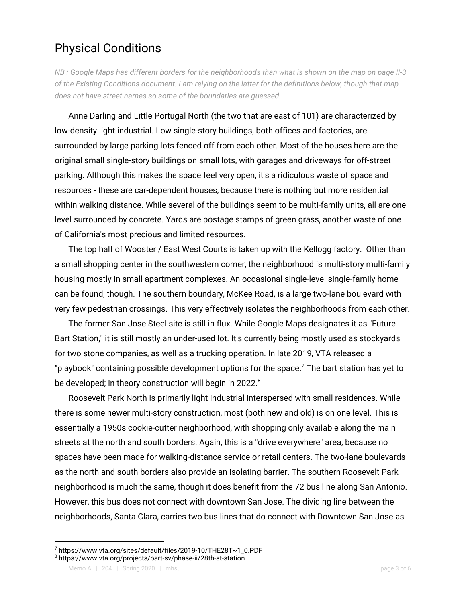### Physical Conditions

NB: Google Maps has different borders for the neighborhoods than what is shown on the map on page II-3 of the Existing Conditions document. I am relying on the latter for the definitions below, though that map *does not have street names so some of the boundaries are guessed.*

Anne Darling and Little Portugal North (the two that are east of 101) are characterized by low-density light industrial. Low single-story buildings, both offices and factories, are surrounded by large parking lots fenced off from each other. Most of the houses here are the original small single-story buildings on small lots, with garages and driveways for off-street parking. Although this makes the space feel very open, it's a ridiculous waste of space and resources - these are car-dependent houses, because there is nothing but more residential within walking distance. While several of the buildings seem to be multi-family units, all are one level surrounded by concrete. Yards are postage stamps of green grass, another waste of one of California's most precious and limited resources.

The top half of Wooster / East West Courts is taken up with the Kellogg factory. Other than a small shopping center in the southwestern corner, the neighborhood is multi-story multi-family housing mostly in small apartment complexes. An occasional single-level single-family home can be found, though. The southern boundary, McKee Road, is a large two-lane boulevard with very few pedestrian crossings. This very effectively isolates the neighborhoods from each other.

The former San Jose Steel site is still in flux. While Google Maps designates it as "Future Bart Station," it is still mostly an under-used lot. It's currently being mostly used as stockyards for two stone companies, as well as a trucking operation. In late 2019, VTA released a "playbook" containing possible development options for the space.<sup>7</sup> The bart station has yet to be developed; in theory construction will begin in 2022.<sup>8</sup>

Roosevelt Park North is primarily light industrial interspersed with small residences. While there is some newer multi-story construction, most (both new and old) is on one level. This is essentially a 1950s cookie-cutter neighborhood, with shopping only available along the main streets at the north and south borders. Again, this is a "drive everywhere" area, because no spaces have been made for walking-distance service or retail centers. The two-lane boulevards as the north and south borders also provide an isolating barrier. The southern Roosevelt Park neighborhood is much the same, though it does benefit from the 72 bus line along San Antonio. However, this bus does not connect with downtown San Jose. The dividing line between the neighborhoods, Santa Clara, carries two bus lines that do connect with Downtown San Jose as

<sup>7</sup> https://www.vta.org/sites/default/files/2019-10/THE28T~1\_0.PDF

<sup>8</sup> https://www.vta.org/projects/bart-sv/phase-ii/28th-st-station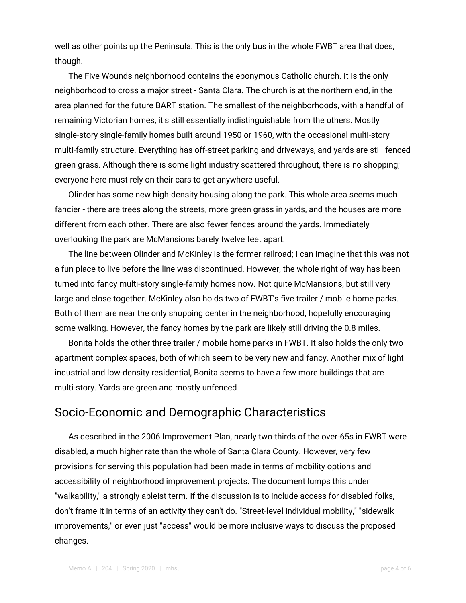well as other points up the Peninsula. This is the only bus in the whole FWBT area that does, though.

The Five Wounds neighborhood contains the eponymous Catholic church. It is the only neighborhood to cross a major street - Santa Clara. The church is at the northern end, in the area planned for the future BART station. The smallest of the neighborhoods, with a handful of remaining Victorian homes, it's still essentially indistinguishable from the others. Mostly single-story single-family homes built around 1950 or 1960, with the occasional multi-story multi-family structure. Everything has off-street parking and driveways, and yards are still fenced green grass. Although there is some light industry scattered throughout, there is no shopping; everyone here must rely on their cars to get anywhere useful.

Olinder has some new high-density housing along the park. This whole area seems much fancier - there are trees along the streets, more green grass in yards, and the houses are more different from each other. There are also fewer fences around the yards. Immediately overlooking the park are McMansions barely twelve feet apart.

The line between Olinder and McKinley is the former railroad; I can imagine that this was not a fun place to live before the line was discontinued. However, the whole right of way has been turned into fancy multi-story single-family homes now. Not quite McMansions, but still very large and close together. McKinley also holds two of FWBT's five trailer / mobile home parks. Both of them are near the only shopping center in the neighborhood, hopefully encouraging some walking. However, the fancy homes by the park are likely still driving the 0.8 miles.

Bonita holds the other three trailer / mobile home parks in FWBT. It also holds the only two apartment complex spaces, both of which seem to be very new and fancy. Another mix of light industrial and low-density residential, Bonita seems to have a few more buildings that are multi-story. Yards are green and mostly unfenced.

#### Socio-Economic and Demographic Characteristics

As described in the 2006 Improvement Plan, nearly two-thirds of the over-65s in FWBT were disabled, a much higher rate than the whole of Santa Clara County. However, very few provisions for serving this population had been made in terms of mobility options and accessibility of neighborhood improvement projects. The document lumps this under "walkability," a strongly ableist term. If the discussion is to include access for disabled folks, don't frame it in terms of an activity they can't do. "Street-level individual mobility," "sidewalk improvements," or even just "access" would be more inclusive ways to discuss the proposed changes.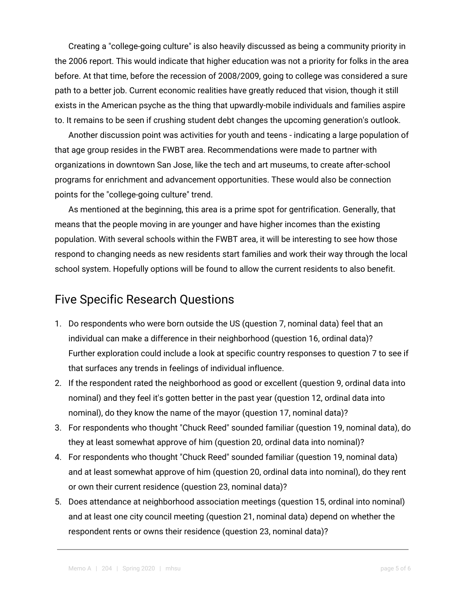Creating a "college-going culture" is also heavily discussed as being a community priority in the 2006 report. This would indicate that higher education was not a priority for folks in the area before. At that time, before the recession of 2008/2009, going to college was considered a sure path to a better job. Current economic realities have greatly reduced that vision, though it still exists in the American psyche as the thing that upwardly-mobile individuals and families aspire to. It remains to be seen if crushing student debt changes the upcoming generation's outlook.

Another discussion point was activities for youth and teens - indicating a large population of that age group resides in the FWBT area. Recommendations were made to partner with organizations in downtown San Jose, like the tech and art museums, to create after-school programs for enrichment and advancement opportunities. These would also be connection points for the "college-going culture" trend.

As mentioned at the beginning, this area is a prime spot for gentrification. Generally, that means that the people moving in are younger and have higher incomes than the existing population. With several schools within the FWBT area, it will be interesting to see how those respond to changing needs as new residents start families and work their way through the local school system. Hopefully options will be found to allow the current residents to also benefit.

#### Five Specific Research Questions

- 1. Do respondents who were born outside the US (question 7, nominal data) feel that an individual can make a difference in their neighborhood (question 16, ordinal data)? Further exploration could include a look at specific country responses to question 7 to see if that surfaces any trends in feelings of individual influence.
- 2. If the respondent rated the neighborhood as good or excellent (question 9, ordinal data into nominal) and they feel it's gotten better in the past year (question 12, ordinal data into nominal), do they know the name of the mayor (question 17, nominal data)?
- 3. For respondents who thought "Chuck Reed" sounded familiar (question 19, nominal data), do they at least somewhat approve of him (question 20, ordinal data into nominal)?
- 4. For respondents who thought "Chuck Reed" sounded familiar (question 19, nominal data) and at least somewhat approve of him (question 20, ordinal data into nominal), do they rent or own their current residence (question 23, nominal data)?
- 5. Does attendance at neighborhood association meetings (question 15, ordinal into nominal) and at least one city council meeting (question 21, nominal data) depend on whether the respondent rents or owns their residence (question 23, nominal data)?